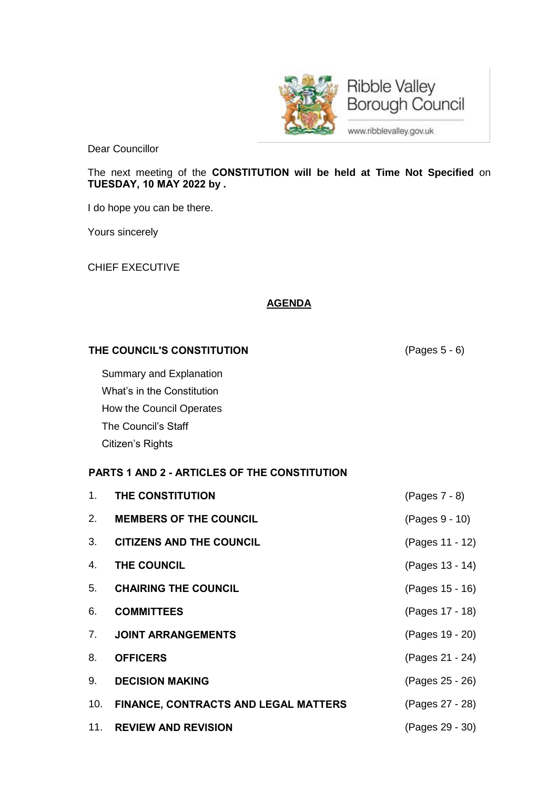

**Ribble Valley** Borough Council

www.ribblevalley.gov.uk

Dear Councillor

The next meeting of the **CONSTITUTION will be held at Time Not Specified** on **TUESDAY, 10 MAY 2022 by .**

I do hope you can be there.

Yours sincerely

CHIEF EXECUTIVE

## **AGENDA**

## **THE COUNCIL'S CONSTITUTION** (Pages 5 - 6)

Summary and Explanation What's in the Constitution How the Council Operates The Council's Staff Citizen's Rights

## **PARTS 1 AND 2 - ARTICLES OF THE CONSTITUTION**

| 1.             | THE CONSTITUTION                         | (Pages 7 - 8)   |
|----------------|------------------------------------------|-----------------|
| 2.             | <b>MEMBERS OF THE COUNCIL</b>            | (Pages 9 - 10)  |
| 3 <sub>1</sub> | <b>CITIZENS AND THE COUNCIL</b>          | (Pages 11 - 12) |
| 4.             | THE COUNCIL                              | (Pages 13 - 14) |
| 5.             | <b>CHAIRING THE COUNCIL</b>              | (Pages 15 - 16) |
| 6.             | <b>COMMITTEES</b>                        | (Pages 17 - 18) |
|                | 7. JOINT ARRANGEMENTS                    | (Pages 19 - 20) |
| 8.             | <b>OFFICERS</b>                          | (Pages 21 - 24) |
|                | 9. DECISION MAKING                       | (Pages 25 - 26) |
|                | 10. FINANCE, CONTRACTS AND LEGAL MATTERS | (Pages 27 - 28) |
|                | 11. REVIEW AND REVISION                  | (Pages 29 - 30) |